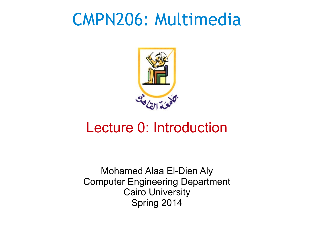## CMPN206: Multimedia



#### Lecture 0: Introduction

Mohamed Alaa El-Dien Aly Computer Engineering Department Cairo University Spring 2014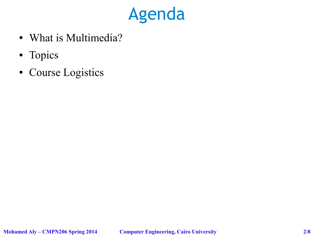

- What is Multimedia?
- Topics
- Course Logistics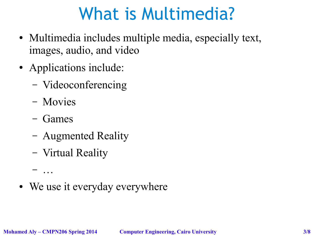# What is Multimedia?

- Multimedia includes multiple media, especially text, images, audio, and video
- Applications include:
	- Videoconferencing
	- Movies
	- Games
	- Augmented Reality
	- Virtual Reality
- We use it everyday everywhere

– …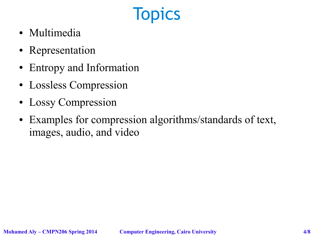## **Topics**

- Multimedia
- Representation
- Entropy and Information
- Lossless Compression
- Lossy Compression
- Examples for compression algorithms/standards of text, images, audio, and video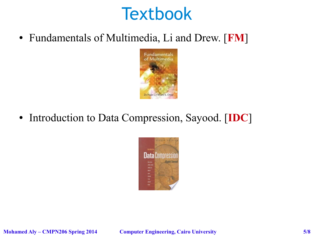## **Textbook**

● Fundamentals of Multimedia, Li and Drew. [**FM**]



• Introduction to Data Compression, Sayood. [**IDC**]

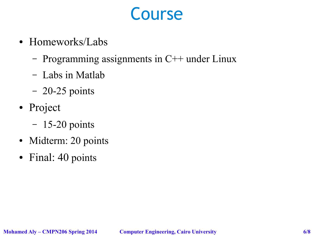#### Course

- Homeworks/Labs
	- Programming assignments in  $C++$  under Linux
	- Labs in Matlab
	- 20-25 points
- Project
	- 15-20 points
- Midterm: 20 points
- Final: 40 points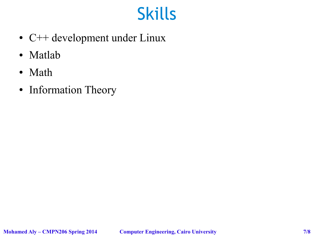## Skills

- C++ development under Linux
- Matlab
- Math
- Information Theory